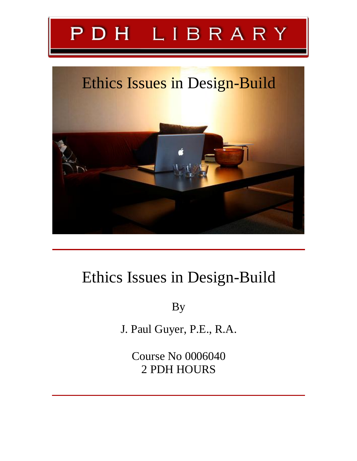# PDH LIBRARY

# Ethics Issues in Design-Build

# Ethics Issues in Design-Build

By

J. Paul Guyer, P.E., R.A.

Course No 0006040 2 PDH HOURS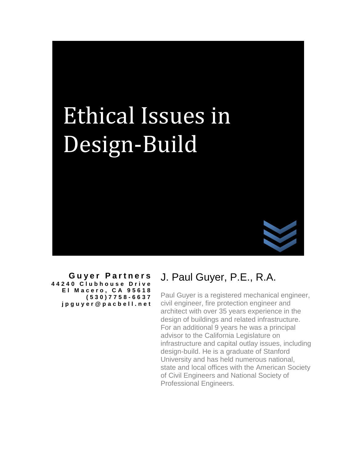

**G u ye r P ar t n e r s 4 4 2 4 0 C l u b h o u s e D r i v e E l M a c e ro , C A 9 5 6 1 8 ( 5 3 0 ) 7 7 5 8 - 6 6 3 7 j p g u y e r [@](mailto:jpguyer@pacbell.net) p a c b e l l . n e t**

# J. Paul Guyer, P.E., R.A.

Paul Guyer is a registered mechanical engineer, civil engineer, fire protection engineer and architect with over 35 years experience in the design of buildings and related infrastructure. For an additional 9 years he was a principal advisor to the California Legislature on infrastructure and capital outlay issues, including design-build. He is a graduate of Stanford University and has held numerous national, state and local offices with the American Society of Civil Engineers and National Society of Professional Engineers.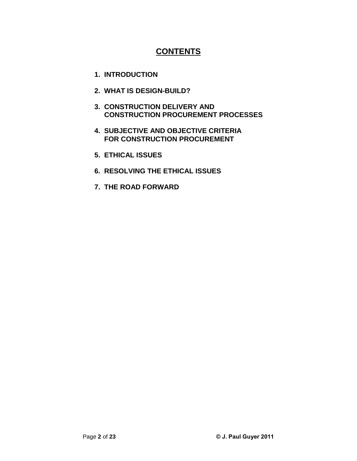### **CONTENTS**

- **1. INTRODUCTION**
- **2. WHAT IS DESIGN-BUILD?**
- **3. CONSTRUCTION DELIVERY AND CONSTRUCTION PROCUREMENT PROCESSES**
- **4. SUBJECTIVE AND OBJECTIVE CRITERIA FOR CONSTRUCTION PROCUREMENT**
- **5. ETHICAL ISSUES**
- **6. RESOLVING THE ETHICAL ISSUES**
- **7. THE ROAD FORWARD**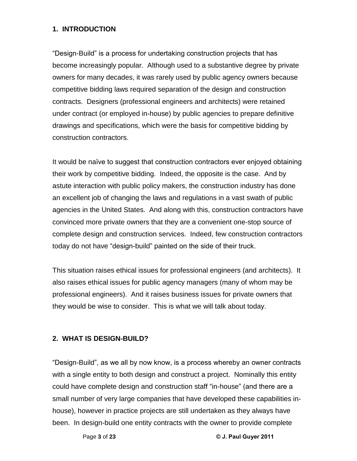### **1. INTRODUCTION**

"Design-Build" is a process for undertaking construction projects that has become increasingly popular. Although used to a substantive degree by private owners for many decades, it was rarely used by public agency owners because competitive bidding laws required separation of the design and construction contracts. Designers (professional engineers and architects) were retained under contract (or employed in-house) by public agencies to prepare definitive drawings and specifications, which were the basis for competitive bidding by construction contractors.

It would be naïve to suggest that construction contractors ever enjoyed obtaining their work by competitive bidding. Indeed, the opposite is the case. And by astute interaction with public policy makers, the construction industry has done an excellent job of changing the laws and regulations in a vast swath of public agencies in the United States. And along with this, construction contractors have convinced more private owners that they are a convenient one-stop source of complete design and construction services. Indeed, few construction contractors to the complete design and construction services. Indeed, few construction of<br>today do not have "design-build" painted on the side of their truck.

This situation raises ethical issues for professional engineers (and architects). It also raises ethical issues for public agency managers (many of whom may be professional engineers). And it raises business issues for private owners that they would be wise to consider. This is what we will talk about today.

### **2. WHAT IS DESIGN-BUILD? <sup>1</sup>**

Page **<sup>3</sup>** of **<sup>23</sup> © J. Paul Guyer <sup>2011</sup>** been. In design-build one entity contracts with the owner to provide complete"Design-Build", as we all by now know, is a process whereby an owner contracts with a single entity to both design and construct a project. Nominally this entity could have complete design and construct a project. Nominally this entity<br>could have complete design and construction staff "in-house" (and there are a small number of very large companies that have developed these capabilities in house), however in practice projects are still undertaken as they always have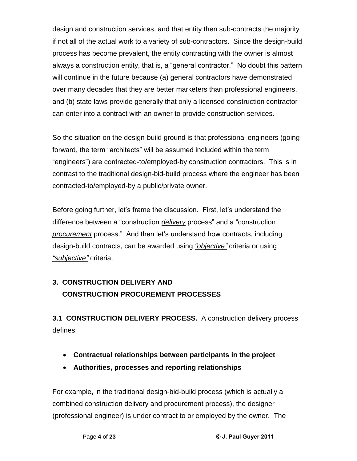design and construction services, and that entity then sub-contracts the majority if not all of the actual work to a variety of sub-contractors. Since the design-build process has become prevalent, the entity contracting with the owner is almost always a construction entity, that is, a "general contractor." No doubt this pattern will continue in the future because (a) general contractors have demonstrated over many decades that they are better marketers than professional engineers, and (b) state laws provide generally that only a licensed construction contractor can enter into a contract with an owner to provide construction services.

So the situation on the design-build ground is that professional engineers (going So the situation on the design-build ground is that professional engineers (going<br>forward, the term "architects" will be assumed included within the term ìforward, the term "architects" will be assumed included within the term<br>"engineers") are contracted-to/employed-by construction contractors. This is in contrast to the traditional design-bid-build process where the engineer has been contracted-to/employed-by a public/private owner.

Before going further, letís frame the discussion. First, letís understand the Before going further, let's frame the discussion. First, let's understand the<br>difference between a "construction <u>*delivery*</u> process" and a "construction proce geing remains, for externe the enecesseming most, for exhibition and<br>difference between a "construction *delivery* process" and a "construction<br>procurement process." And then let's understand how contracts, including difference between a construction <u>defivery</u> process and a construction<br>procurement process." And then let's understand how contracts, including<br>design-build contracts, can be awarded using <u>"objective"</u> criteria or using *ì*design-build contracts, can be awarded using <u>"o*bjective"*</u> criteria or using<br>"s*ubjective"* criteria.

# **3. CONSTRUCTION DELIVERY AND CONSTRUCTION PROCUREMENT PROCESSES**

**3.1 CONSTRUCTION DELIVERY PROCESS.** A construction delivery process defines:

- **Contractual relationships between participants in the project**
- **Authorities, processes and reporting relationships**

For example, in the traditional design-bid-build process (which is actually a combined construction delivery and procurement process), the designer (professional engineer) is under contract to or employed by the owner. The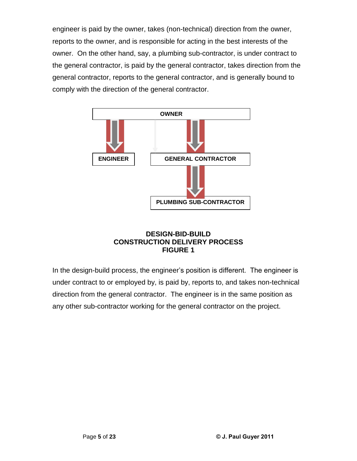engineer is paid by the owner, takes (non-technical) direction from the owner, reports to the owner, and is responsible for acting in the best interests of the owner. On the other hand, say, a plumbing sub-contractor, is under contract to the general contractor, is paid by the general contractor, takes direction from the general contractor, reports to the general contractor, and is generally bound to comply with the direction of the general contractor.



### **DESIGN-BID-BUILD CONSTRUCTION DELIVERY PROCESS FIGURE 1**

In the design-build process, the engineer's position is different. The engineer is under contract to or employed by, is paid by, reports to, and takes non-technical direction from the general contractor. The engineer is in the same position as any other sub-contractor working for the general contractor on the project.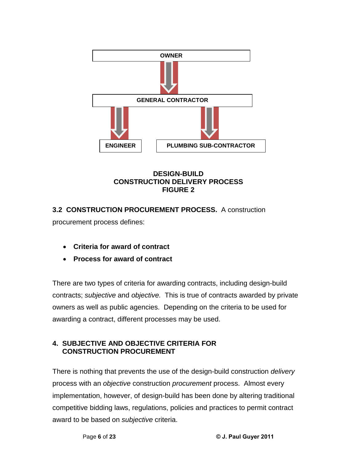![](_page_6_Figure_0.jpeg)

### **DESIGN-BUILD CONSTRUCTION DELIVERY PROCESS FIGURE 2**

## **3.2 CONSTRUCTION PROCUREMENT PROCESS.** A construction procurement process defines:

- **Criteria for award of contract**
- **Process for award of contract**

There are two types of criteria for awarding contracts, including design-build contracts; subjective and objective. This is true of contracts awarded by private owners as well as public agencies. Depending on the criteria to be used for awarding a contract, different processes may be used.

### **4. SUBJECTIVE AND OBJECTIVE CRITERIA FOR CONSTRUCTION PROCUREMENT**

Page **<sup>6</sup>** of **<sup>23</sup> © J. Paul Guyer <sup>2011</sup>** There is nothing that prevents the use of the design-build construction delivery process with an *objective* construction *procurement* process. Almost every implementation, however, of design-build has been done by altering traditional competitive bidding laws, regulations, policies and practices to permit contract award to be based on subjective criteria.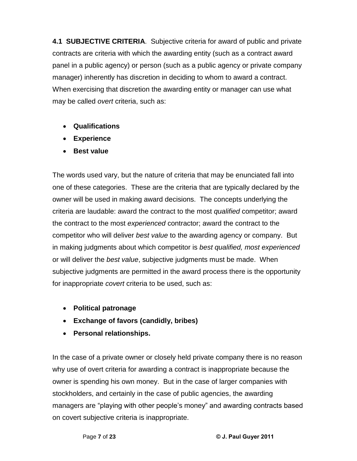**4.1 SUBJECTIVE CRITERIA**. Subjective criteria for award of public and private contracts are criteria with which the awarding entity (such as a contract award panel in a public agency) or person (such as a public agency or private company manager) inherently has discretion in deciding to whom to award a contract. When exercising that discretion the awarding entity or manager can use what may be called overt criteria, such as:

- **Qualifications**
- **Experience**
- **Best value**

The words used vary, but the nature of criteria that may be enunciated fall into one of these categories. These are the criteria that are typically declared by the owner will be used in making award decisions. The concepts underlying the criteria are laudable: award the contract to the most qualified competitor; award the contract to the most experienced contractor; award the contract to the competitor who will deliver *best value* to the awarding agency or company. But in making judgments about which competitor is best qualified, most experienced or will deliver the *best value*, subjective judgments must be made. When subjective judgments are permitted in the award process there is the opportunity for inappropriate *covert* criteria to be used, such as:

- **Political patronage**
- **Exchange of favors (candidly, bribes)**
- **Personal relationships.**

Page **<sup>7</sup>** of **<sup>23</sup> © J. Paul Guyer <sup>2011</sup>** In the case of a private owner or closely held private company there is no reason why use of overt criteria for awarding a contract is inappropriate because the owner is spending his own money. But in the case of larger companies with stockholders, and certainly in the case of public agencies, the awarding managers are "playing with other people's money" and awarding contracts based on covert subjective criteria is inappropriate.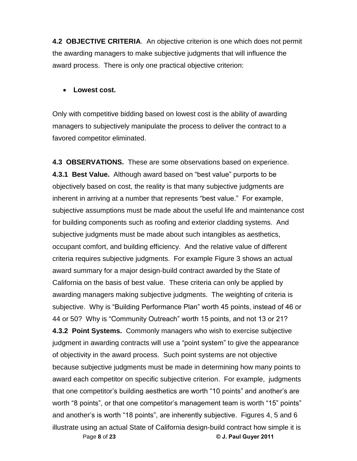**4.2 OBJECTIVE CRITERIA.** An objective criterion is one which does not permit the awarding managers to make subjective judgments that will influence the award process. There is only one practical objective criterion:

### **Lowest cost.**

Only with competitive bidding based on lowest cost is the ability of awarding managers to subjectively manipulate the process to deliver the contract to a favored competitor eliminated.

**Example 19 or the State of California design-build contract how simple it is<br>Page 8 of 23 <b>California design-build contract how simple it i 4.3 OBSERVATIONS.** These are some observations based on experience. **4.3 OBSERVATIONS.** These are some observations based on experience.<br>4**.3.1 Best Value.** Although award based on "best value" purports to be objectively based on cost, the reality is that many subjective judgments are incent were called in alleged at a secon on soon called parpolle to so<br>objectively based on cost, the reality is that many subjective judgments are<br>inherent in arriving at a number that represents "best value." For example subjective assumptions must be made about the useful life and maintenance cost for building components such as roofing and exterior cladding systems. And subjective judgments must be made about such intangibles as aesthetics, occupant comfort, and building efficiency. And the relative value of different criteria requires subjective judgments. For example Figure 3 shows an actual award summary for a major design-build contract awarded by the State of California on the basis of best value. These criteria can only be applied by awarding managers making subjective judgments. The weighting of criteria is substitution in the state of the control timest since the computer supplies by<br>awarding managers making subjective judgments. The weighting of criteria is<br>subjective. Why is "Building Performance Plan" worth 45 points, ins and any mand-good manning out, one gragonomer with the grand-good contenting<br>subjective. Why is "Building Performance Plan" worth 45 points, instead of 46 or<br>44 or 50? Why is "Community Outreach" worth 15 points, and not 1 **4.3.2 Point Systems.** Commonly managers who wish to exercise subjective 44 or 50? Why is "Community Outreach" worth 15 points, and not 13 or 21?<br>**4.3.2 Point Systems.** Commonly managers who wish to exercise subjective<br>judgment in awarding contracts will use a "point system" to give the appeara of objectivity in the award process. Such point systems are not objective because subjective judgments must be made in determining how many points to award each competitor on specific subjective criterion. For example, judgments that one competitor's building aesthetics are worth "10 points" and another's are word is such samp since the poems sample since consumers is sharing to gragorities<br>that one competitor's building aesthetics are worth "10 points" and another's are<br>worth "8 points", or that one competitor's management tea and and another and anomy arrangement of the therm in prince and another and<br>worth "8 points", or that one competitor's management team is worth "15" points"<br>and another's is worth "18 points", are inherently subjective. F illustrate using an actual State of California design-build contract how simple it is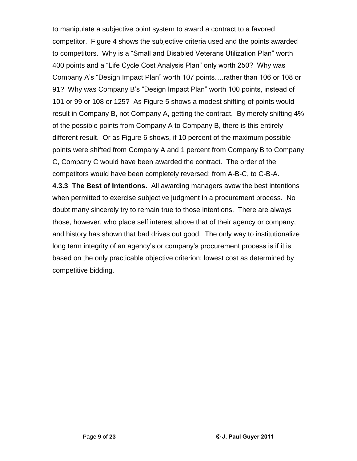to manipulate a subjective point system to award a contract to a favored competitor. Figure 4 shows the subjective criteria used and the points awarded to many and a sangle are plant system to antihative and the antitive.<br>competitor. Figure 4 shows the subjective criteria used and the points awarded<br>to competitors. Why is a "Small and Disabled Veterans Utilization Plan" w to competitors. Why is a "Small and Disabled Veterans Utilization Plan" worth<br>400 points and a "Life Cycle Cost Analysis Plan" only worth 250? Why was Componsive African and Standard Plance Company African Institutes<br>400 points and a "Life Cycle Cost Analysis Plan" only worth 250? Why was<br>Company A's "Design Impact Plan" worth 107 points....rather than 106 or 108 or 919 Point Circi of Site of Commangers from 2007 trend Site 1000 points<br>Company A's "Design Impact Plan" worth 107 points....rather than 106 or 108 or<br>91? Why was Company B's "Design Impact Plan" worth 100 points, instead o 101 or 99 or 108 or 125? As Figure 5 shows a modest shifting of points would result in Company B, not Company A, getting the contract. By merely shifting 4% of the possible points from Company A to Company B, there is this entirely different result. Or as Figure 6 shows, if 10 percent of the maximum possible points were shifted from Company A and 1 percent from Company B to Company C, Company C would have been awarded the contract. The order of the competitors would have been completely reversed; from A-B-C, to C-B-A.

**4.3.3 The Best of Intentions.** All awarding managers avow the best intentions when permitted to exercise subjective judgment in a procurement process. No doubt many sincerely try to remain true to those intentions. There are always those, however, who place self interest above that of their agency or company, and history has shown that bad drives out good. The only way to institutionalize long term integrity of an alternative control of an alternative system process, is if it is<br>long term integrity of an agency's or company's procurement process is if it is based on the only practicable objective criterion: lowest cost as determined by competitive bidding.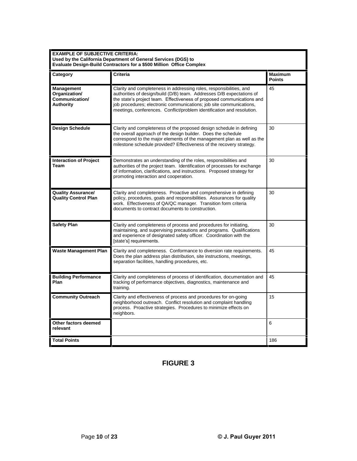| <b>EXAMPLE OF SUBJECTIVE CRITERIA:</b>                            | Used by the California Department of General Services (DGS) to<br><b>Evaluate Design-Build Contractors for a \$500 Million Office Complex</b>                                                                                                                                                                                                                           |                                 |
|-------------------------------------------------------------------|-------------------------------------------------------------------------------------------------------------------------------------------------------------------------------------------------------------------------------------------------------------------------------------------------------------------------------------------------------------------------|---------------------------------|
| Category                                                          | Criteria                                                                                                                                                                                                                                                                                                                                                                | <b>Maximum</b><br><b>Points</b> |
| <b>Management</b><br>Organization/<br>Communication/<br>Authority | Clarity and completeness in addressing roles, responsibilities, and<br>authorities of design/build (D/B) team. Addresses D/B expectations of<br>the state's project team. Effectiveness of proposed communications and<br>job procedures; electronic communications; job site communications,<br>meetings, conferences. Conflict/problem identification and resolution. | 45                              |
| <b>Design Schedule</b>                                            | Clarity and completeness of the proposed design schedule in defining<br>the overall approach of the design builder. Does the schedule<br>correspond to the major elements of the management plan as well as the<br>milestone schedule provided? Effectiveness of the recovery strategy.                                                                                 | 30                              |
| <b>Interaction of Project</b><br>Team                             | Demonstrates an understanding of the roles, responsibilities and<br>authorities of the project team. Identification of processes for exchange<br>of information, clarifications, and instructions. Proposed strategy for<br>promoting interaction and cooperation.                                                                                                      | 30                              |
| <b>Quality Assurance/</b><br><b>Quality Control Plan</b>          | Clarity and completeness. Proactive and comprehensive in defining<br>policy, procedures, goals and responsibilities. Assurances for quality<br>work. Effectiveness of QA/QC manager. Transition form criteria<br>documents to contract documents to construction.                                                                                                       | 30                              |
| <b>Safety Plan</b>                                                | Clarity and completeness of process and procedures for initiating,<br>maintaining, and supervising precautions and programs. Qualifications<br>and experience of designated safety officer. Coordination with the<br>[state's] requirements.                                                                                                                            | 30                              |
| <b>Waste Management Plan</b>                                      | Clarity and completeness. Conformance to diversion rate requirements.<br>Does the plan address plan distribution, site instructions, meetings,<br>separation facilities, handling procedures, etc.                                                                                                                                                                      | 45                              |
| <b>Building Performance</b><br>Plan                               | Clarity and completeness of process of identification, documentation and<br>tracking of performance objectives, diagnostics, maintenance and<br>training.                                                                                                                                                                                                               | 45                              |
| <b>Community Outreach</b>                                         | Clarity and effectiveness of process and procedures for on-going<br>neighborhood outreach. Conflict resolution and complaint handling<br>process. Proactive strategies. Procedures to minimize effects on<br>neighbors.                                                                                                                                                 | 15                              |
| Other factors deemed<br>relevant                                  |                                                                                                                                                                                                                                                                                                                                                                         | 6                               |
| <b>Total Points</b>                                               |                                                                                                                                                                                                                                                                                                                                                                         | 186                             |

### **FIGURE 3**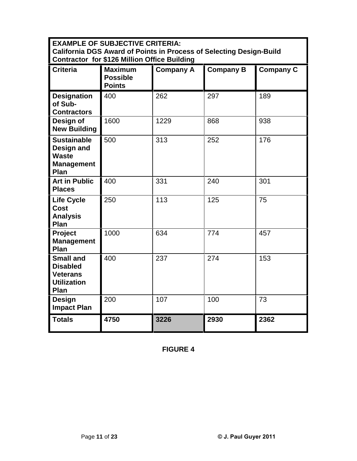| <b>EXAMPLE OF SUBJECTIVE CRITERIA:</b><br><b>California DGS Award of Points in Process of Selecting Design-Build</b><br><b>Contractor for \$126 Million Office Building</b> |                                                    |                  |                  |                  |
|-----------------------------------------------------------------------------------------------------------------------------------------------------------------------------|----------------------------------------------------|------------------|------------------|------------------|
| <b>Criteria</b>                                                                                                                                                             | <b>Maximum</b><br><b>Possible</b><br><b>Points</b> | <b>Company A</b> | <b>Company B</b> | <b>Company C</b> |
| <b>Designation</b><br>of Sub-<br><b>Contractors</b>                                                                                                                         | 400                                                | 262              | 297              | 189              |
| Design of<br><b>New Building</b>                                                                                                                                            | 1600                                               | 1229             | 868              | 938              |
| <b>Sustainable</b><br>Design and<br><b>Waste</b><br><b>Management</b><br>Plan                                                                                               | 500                                                | 313              | 252              | 176              |
| <b>Art in Public</b><br><b>Places</b>                                                                                                                                       | 400                                                | 331              | 240              | 301              |
| <b>Life Cycle</b><br><b>Cost</b><br><b>Analysis</b><br>Plan                                                                                                                 | 250                                                | 113              | 125              | 75               |
| Project<br><b>Management</b><br>Plan                                                                                                                                        | 1000                                               | 634              | 774              | 457              |
| <b>Small and</b><br><b>Disabled</b><br><b>Veterans</b><br><b>Utilization</b><br>Plan                                                                                        | 400                                                | 237              | 274              | 153              |
| Design<br><b>Impact Plan</b>                                                                                                                                                | 200                                                | 107              | 100              | 73               |
| <b>Totals</b>                                                                                                                                                               | 4750                                               | 3226             | 2930             | 2362             |

**FIGURE 4**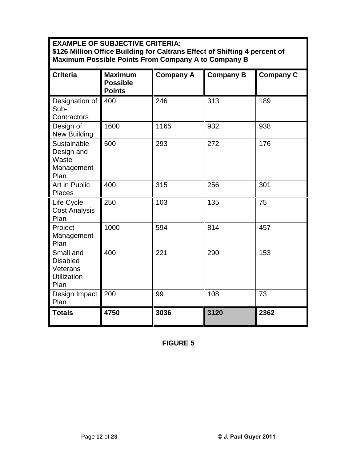**EXAMPLE OF SUBJECTIVE CRITERIA: \$126 Million Office Building forCaltrans Effect of Shifting 4 percent of Maximum Possible Points From Company A to Company B**

| <b>Criteria</b>                                                        | <b>Maximum</b><br><b>Possible</b><br><b>Points</b> | <b>Company A</b> | <b>Company B</b> | <b>Company C</b> |
|------------------------------------------------------------------------|----------------------------------------------------|------------------|------------------|------------------|
| Designation of<br>Sub-<br>Contractors                                  | 400                                                | 246              | 313              | 189              |
| Design of<br><b>New Building</b>                                       | 1600                                               | 1165             | 932              | 938              |
| Sustainable<br>Design and<br>Waste<br>Management<br>Plan               | 500                                                | 293              | 272              | 176              |
| Art in Public<br>Places                                                | 400                                                | 315              | 256              | 301              |
| Life Cycle<br><b>Cost Analysis</b><br>Plan                             | 250                                                | 103              | 135              | 75               |
| Project<br>Management<br>Plan                                          | 1000                                               | 594              | 814              | 457              |
| Small and<br><b>Disabled</b><br>Veterans<br><b>Utilization</b><br>Plan | 400                                                | 221              | 290              | 153              |
| Design Impact<br>Plan                                                  | 200                                                | 99               | 108              | 73               |
| <b>Totals</b>                                                          | 4750                                               | 3036             | 3120             | 2362             |

**FIGURE 5**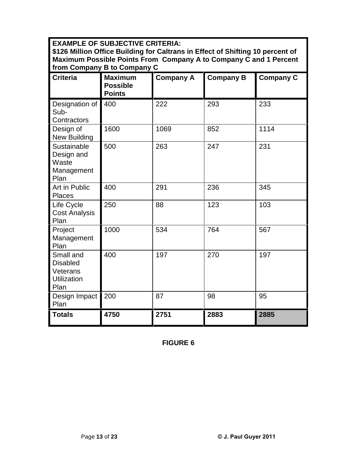**EXAMPLE OF SUBJECTIVE CRITERIA:**

**\$126 Million Office Building forCaltrans in Effect of Shifting 10 percent of Maximum Possible Points From Company A to Company C and 1 Percent from Company B to Company C**

| ,,,, vvpu<br>www.pang                                                  |                                                    |                  |                  |                  |
|------------------------------------------------------------------------|----------------------------------------------------|------------------|------------------|------------------|
| <b>Criteria</b>                                                        | <b>Maximum</b><br><b>Possible</b><br><b>Points</b> | <b>Company A</b> | <b>Company B</b> | <b>Company C</b> |
| Designation of<br>Sub-<br>Contractors                                  | 400                                                | 222              | 293              | 233              |
| Design of<br><b>New Building</b>                                       | 1600                                               | 1069             | 852              | 1114             |
| Sustainable<br>Design and<br>Waste<br>Management<br>Plan               | 500                                                | 263              | 247              | 231              |
| Art in Public<br><b>Places</b>                                         | 400                                                | 291              | 236              | 345              |
| Life Cycle<br><b>Cost Analysis</b><br>Plan                             | 250                                                | 88               | 123              | 103              |
| Project<br>Management<br>Plan                                          | 1000                                               | 534              | 764              | 567              |
| Small and<br><b>Disabled</b><br>Veterans<br><b>Utilization</b><br>Plan | 400                                                | 197              | 270              | 197              |
| Design Impact<br>Plan                                                  | 200                                                | 87               | 98               | 95               |
| <b>Totals</b>                                                          | 4750                                               | 2751             | 2883             | 2885             |

**FIGURE 6**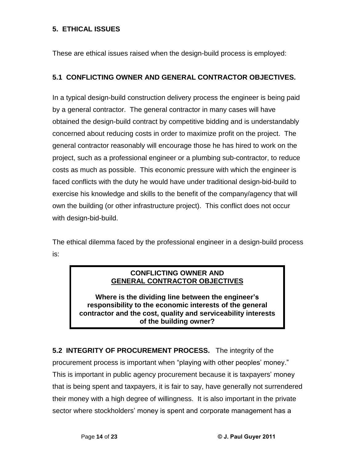### **5. ETHICAL ISSUES**

These are ethical issues raised when the design-build process is employed:

### **5.1 CONFLICTING OWNER AND GENERAL CONTRACTOR OBJECTIVES.**

In a typical design-build construction delivery process the engineer is being paid by a general contractor. The general contractor in many cases will have obtained the design-build contract by competitive bidding and is understandably concerned about reducing costs in order to maximize profit on the project. The general contractor reasonably will encourage those he has hired to work on the project, such as a professional engineer or a plumbing sub-contractor, to reduce costs as much as possible. This economic pressure with which the engineer is faced conflicts with the duty he would have under traditional design-bid-build to exercise his knowledge and skills to the benefit of the company/agency that will own the building (or other infrastructure project). This conflict does not occur with design-bid-build.

The ethical dilemma faced by the professional engineer in a design-build process is:

### **CONFLICTING OWNER AND GENERAL CONTRACTOR OBJECTIVES**

**Where is the dividing line between the engineerís responsibility to the economic interests of the general contractor and the cost, quality and serviceability interests of the building owner?**

**5.2 INTEGRITY OF PROCUREMENT PROCESS.** The integrity of the 5.2 INTEGRITY OF PROCUREMENT PROCESS. The integrity of the<br>procurement process is important when "playing with other peoples' money." The mand start in the content in the construction of the marging of the<br>procurement process is important when "playing with other peoples' money."<br>This is important in public agency procurement because it is taxpayers' mon that is being spent and taxpayers, it is fair to say, have generally not surrendered their money with a high degree of willingness. It is also important in the private sector where standard state state of willingness. It is also important in the private<br>sector where stockholders' money is spent and corporate management has a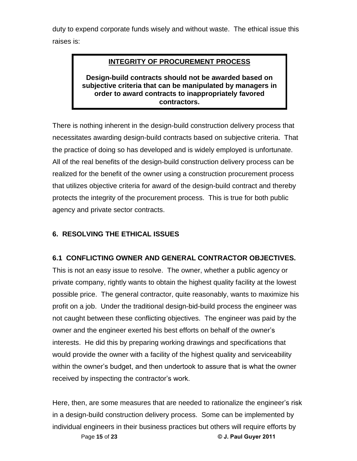duty to expend corporate funds wisely and without waste. The ethical issue this raises is:

### **INTEGRITY OF PROCUREMENT PROCESS**

**Design-build contracts should not be awarded based on subjective criteria that can be manipulated by managers in order to award contracts to inappropriately favored contractors.**

There is nothing inherent in the design-build construction delivery process that necessitates awarding design-build contracts based on subjective criteria. That the practice of doing so has developed and is widely employed is unfortunate. All of the real benefits of the design-build construction delivery process can be realized for the benefit of the owner using a construction procurement process that utilizes objective criteria for award of the design-build contract and thereby protects the integrity of the procurement process. This is true for both public agency and private sector contracts.

### **6. RESOLVING THE ETHICAL ISSUES**

### **6.1 CONFLICTING OWNER AND GENERAL CONTRACTOR OBJECTIVES.**

This is not an easy issue to resolve. The owner, whether a public agency or private company, rightly wants to obtain the highest quality facility at the lowest possible price. The general contractor, quite reasonably, wants to maximize his profit on a job. Under the traditional design-bid-build process the engineer was not caught between these conflicting objectives. The engineer was paid by the owner and the engineer exerted his best efforts on behalf of the owner and the engineer exerted his best efforts on behalf of the owner's interests. He did this by preparing working drawings and specifications that would provide the owner with a facility of the highest quality and serviceability with our the and the oyder-and them is and the highest quality and serviceability<br>within the owner's budget, and then undertook to assure that is what the owner receive precise and structure and control to the control of<br>within the owner's budget, and then undertook to<br>received by inspecting the contractor's work. received by inspecting the contractor's work.<br>Here, then, are some measures that are needed to rationalize the engineer's risk

engineers in their business practices but others will require efforts by<br>Page 15 of 23 **CAU** © J. Paul Guyer 2011 in a design-build construction delivery process. Some can be implemented by individual engineers in their business practices but others will require efforts by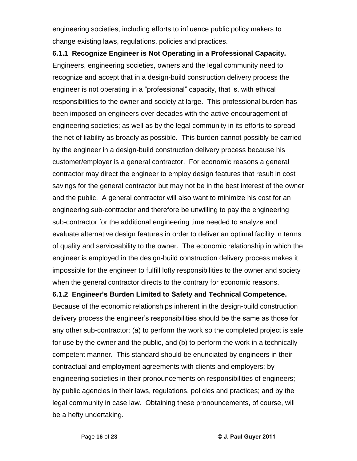engineering societies, including efforts to influence public policy makers to change existing laws, regulations, policies and practices.

**6.1.1 Recognize Engineer is Not Operating in a Professional Capacity.** Engineers, engineering societies, owners and the legal community need to recognize and accept that in a design-build construction delivery process the engineer is not operating in a "professional" capacity, that is, with ethical responsibilities to the owner and society at large. This professional burden has been imposed on engineers over decades with the active encouragement of engineering societies; as well as by the legal community in its efforts to spread the net of liability as broadly as possible. This burden cannot possibly be carried by the engineer in a design-build construction delivery process because his customer/employer is a general contractor. For economic reasons a general contractor may direct the engineer to employ design features that result in cost savings for the general contractor but may not be in the best interest of the owner and the public. A general contractor will also want to minimize his cost for an engineering sub-contractor and therefore be unwilling to pay the engineering sub-contractor for the additional engineering time needed to analyze and evaluate alternative design features in order to deliver an optimal facility in terms of quality and serviceability to the owner. The economic relationship in which the engineer is employed in the design-build construction delivery process makes it impossible for the engineer to fulfill lofty responsibilities to the owner and society when the general contractor directs to the contrary for economic reasons.

### **6.1.2 Engineerís Burden Limited to Safety and Technical Competence.**

Because of the economic relationships inherent in the design-build construction delivery process the engineer's responsibilities should be the same as those for<br>delivery process the engineer's responsibilities should be the same as those for any other sub-contractor: (a) to perform the work so the completed project is safe for use by the owner and the public, and (b) to perform the work in a technically competent manner. This standard should be enunciated by engineers in their contractual and employment agreements with clients and employers; by engineering societies in their pronouncements on responsibilities of engineers; by public agencies in their laws, regulations, policies and practices; and by the legal community in case law. Obtaining these pronouncements, of course, will be a hefty undertaking.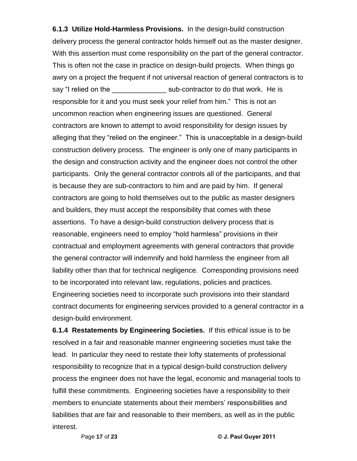**6.1.3 Utilize Hold-Harmless Provisions.** In the design-build construction delivery process the general contractor holds himself out as the master designer. With this assertion must come responsibility on the part of the general contractor. This is often not the case in practice on design-build projects. When things go awry on a project the frequent if not universal reaction of general contractors is to sawry on a project the frequent if not universal reaction of general contractors is to<br>say "I relied on the \_\_\_\_\_\_\_\_\_\_\_\_\_\_\_\_\_\_\_\_\_\_\_sub-contractor to do that work. He is say "I relied on the \_\_\_\_\_\_\_\_\_\_\_\_\_\_\_\_\_\_\_\_\_ sub-contractor to do that work. He is responsible for it and you must seek your relief from him." This is not an uncommon reaction when engineering issues are questioned. General contractors are known to attempt to avoid responsibility for design issues by alleging that they "relied on the engineer." This is unacceptable in a design-build construction delivery process. The engineer is only one of many participants in the design and construction activity and the engineer does not control the other participants. Only the general contractor controls all of the participants, and that is because they are sub-contractors to him and are paid by him. If general contractors are going to hold themselves out to the public as master designers and builders, they must accept the responsibility that comes with these assertions. To have a design-build construction delivery process that is reasonable, engineers need to employ "hold harmless" provisions in their contractual and employment agreements with general contractors that provide the general contractor will indemnify and hold harmless the engineer from all liability other than that for technical negligence. Corresponding provisions need to be incorporated into relevant law, regulations, policies and practices. Engineering societies need to incorporate such provisions into their standard contract documents for engineering services provided to a general contractor in a design-build environment.

Page **<sup>17</sup>** of **<sup>23</sup> © J. Paul Guyer <sup>2011</sup> 6.1.4 Restatements by Engineering Societies.** If this ethical issue is to be resolved in a fair and reasonable manner engineering societies must take the lead. In particular they need to restate their lofty statements of professional responsibility to recognize that in a typical design-build construction delivery process the engineer does not have the legal, economic and managerial tools to fulfill these commitments. Engineering societies have a responsibility to their members the engineer according the regal, coentring and managements to their<br>fulfill these commitments. Engineering societies have a responsibility to their<br>members to enunciate statements about their members' responsibili liabilities that are fair and reasonable to their members, as well as in the public interest.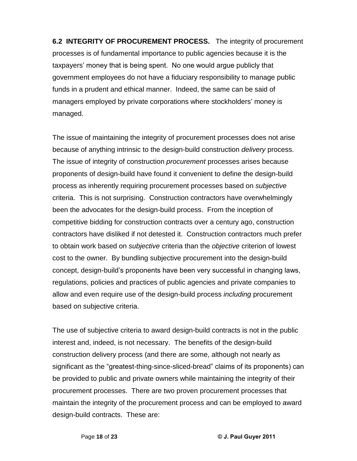**6.2 INTEGRITY OF PROCUREMENT PROCESS.** The integrity of procurement processes is of fundamental importance to public agencies because it is the taxpayers' money that is being spent. No one would argue publicly that government employees do not have a fiduciary responsibility to manage public funds in a prudent and ethical manner. Indeed, the same can be said of government emproyeed as not have a nation, y responsionly to manage pastite<br>funds in a prudent and ethical manner. Indeed, the same can be said of<br>managers employed by private corporations where stockholders' money is managed.

The issue of maintaining the integrity of procurement processes does not arise because of anything intrinsic to the design-build construction delivery process. The issue of integrity of construction *procurement* processes arises because proponents of design-build have found it convenient to define the design-build process as inherently requiring procurement processes based on subjective criteria. This is not surprising. Construction contractors have overwhelmingly been the advocates for the design-build process. From the inception of competitive bidding for construction contracts over a century ago, construction contractors have disliked if not detested it. Construction contractors much prefer to obtain work based on *subjective* criteria than the *objective* criterion of lowest cost to the owner. By bundling subjective procurement into the design-build concept, design-buildís proponents have been very successful in changing laws, regulations, policies and practices of public agencies and private companies to allow and even require use of the design-build process including procurement based on subjective criteria.

The use of subjective criteria to award design-build contracts is not in the public interest and, indeed, is not necessary. The benefits of the design-build construction delivery process (and there are some, although not nearly as significant as the "greatest-thing-since-sliced-bread" claims of its proponents) can be provided to public and private owners while maintaining the integrity of their procurement processes. There are two proven procurement processes that maintain the integrity of the procurement process and can be employed to award design-build contracts. These are: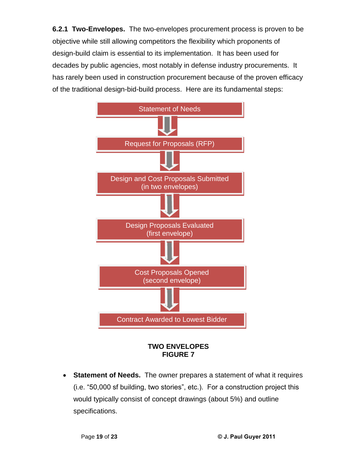**6.2.1 Two-Envelopes.** The two-envelopes procurement process is proven to be objective while still allowing competitors the flexibility which proponents of design-build claim is essential to its implementation. It has been used for decades by public agencies, most notably in defense industry procurements. It has rarely been used in construction procurement because of the proven efficacy of the traditional design-bid-build process. Here are its fundamental steps:

![](_page_19_Figure_1.jpeg)

### **TWO ENVELOPES FIGURE 7**

 **Statement of Needs.** The owner prepares a statement of what it requires **Statement of Needs.** The owner prepares a statement of what it requires<br>(i.e. "50,000 sf building, two stories", etc.). For a construction project this would typically consist of concept drawings (about 5%) and outline specifications.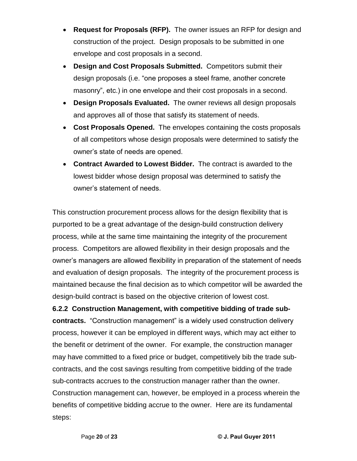- **Request for Proposals (RFP).** The owner issues an RFP for design and construction of the project. Design proposals to be submitted in one envelope and cost proposals in <sup>a</sup> second.
- Design and Cost Proposals Submitted. Competitors submit their<br>design proposals (i.e. "one proposes a steel frame, another concrete **Design and Cost Proposals Submitted.** Competitors submit their  $\bullet$ design proposals (i.e. "one proposes a steel frame, another concrete<br>masonry", etc.) in one envelope and their cost proposals in a second.
- **Design Proposals Evaluated.** The owner reviews all design proposals and approves all of those that satisfy its statement of needs.
- **Cost Proposals Opened.** The envelopes containing the costs proposals of all competitors whose design proposals were determined to satisfy the of all competitors whose design proposare<br>owner's state of needs are opened.
- **Contract Awarded to Lowest Bidder.** The contract is awarded to the lowest bidder whose design proposal was determined to satisfy the owner is not to a state of a<br>lowest bidder whose design prop<br>owner's statement of needs.

This construction procurement process allows for the design flexibility that is purported to be a great advantage of the design-build construction delivery process, while at the same time maintaining the integrity of the procurement process. Competitors are allowed flexibility in their design proposals and the ownerís managers are allowed flexibility in preparation of the statement of needs and evaluation of design proposals. The integrity of the procurement process is maintained because the final decision as to which competitor will be awarded the design-build contract is based on the objective criterion of lowest cost.

Page **<sup>20</sup>** of **<sup>23</sup> © J. Paul Guyer <sup>2011</sup> 6.2.2 Construction Management, with competitive bidding of trade sub contracts.** "Construction management" is a widely used construction delivery process, however it can be employed in different ways, which may act either to the benefit or detriment of the owner. For example, the construction manager may have committed to a fixed price or budget, competitively bib the trade sub contracts, and the cost savings resulting from competitive bidding of the trade sub-contracts accrues to the construction manager rather than the owner. Construction management can, however, be employed in a process wherein the benefits of competitive bidding accrue to the owner. Here are its fundamental steps: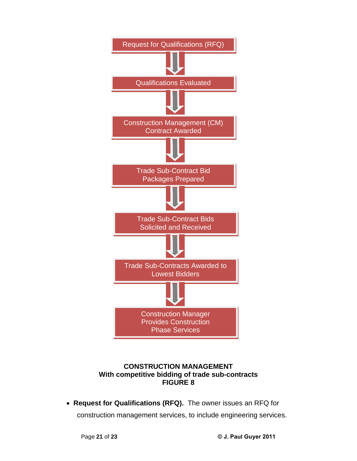![](_page_21_Figure_0.jpeg)

### **CONSTRUCTION MANAGEMENT With competitive bidding of trade sub-contracts FIGURE 8**

 **Request for Qualifications (RFQ).** The owner issues an RFQ for construction management services, to include engineering services.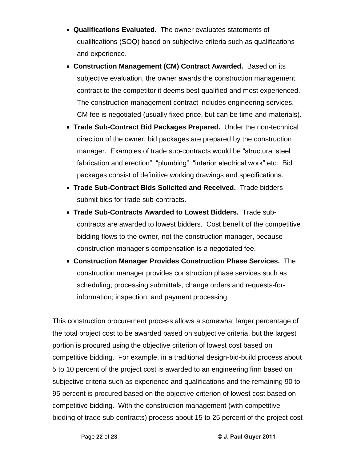- **Qualifications Evaluated.** The owner evaluates statements of qualifications (SOQ) based on subjective criteria such as qualifications and experience.
- **Construction Management (CM) Contract Awarded.** Based on its subjective evaluation, the owner awards the construction management contract to the competitor it deems best qualified and most experienced. The construction management contract includes engineering services. CM fee is negotiated (usually fixed price, but can be time-and-materials).
- **Trade Sub-Contract Bid Packages Prepared.** Under the non-technical direction of the owner, bid packages are prepared by the construction manager. Examples of trade sub-contracts would be "structural steel fabrication and erection", "plumbing", "interior electrical work" etc. Bid packages consist of definitive working drawings and specifications.
- **Trade Sub-Contract Bids Solicited and Received.** Trade bidders submit bids for trade sub-contracts.
- **Trade Sub-Contracts Awarded to Lowest Bidders.** Trade sub contracts are awarded to lowest bidders. Cost benefit of the competitive bidding flows to the owner, not the construction manager, because constance are attacted to tenderer stateter soon sensitive and or<br>bidding flows to the owner, not the construction manager, beca<br>construction manager's compensation is a negotiated fee.
- **Construction Manager Provides Construction Phase Services.** The construction manager provides construction phase services such as scheduling; processing submittals, change orders and requests-forinformation; inspection; and payment processing.

Page **<sup>22</sup>** of **<sup>23</sup> © J. Paul Guyer <sup>2011</sup>** This construction procurement process allows a somewhat larger percentage of the total project cost to be awarded based on subjective criteria, but the largest portion is procured using the objective criterion of lowest cost based on competitive bidding. For example, in a traditional design-bid-build process about 5 to 10 percent of the project cost is awarded to an engineering firm based on subjective criteria such as experience and qualifications and the remaining 90 to 95 percent is procured based on the objective criterion of lowest cost based on competitive bidding. With the construction management (with competitive bidding of trade sub-contracts) process about 15 to 25 percent of the project cost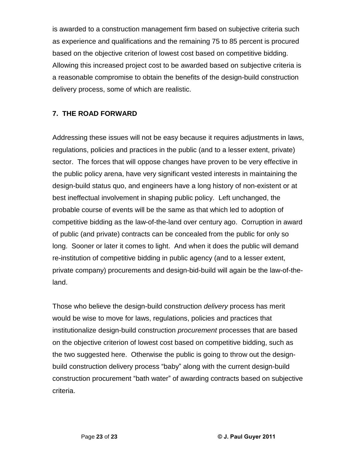is awarded to a construction management firm based on subjective criteria such as experience and qualifications and the remaining 75 to 85 percent is procured based on the objective criterion of lowest cost based on competitive bidding. Allowing this increased project cost to be awarded based on subjective criteria is a reasonable compromise to obtain the benefits of the design-build construction delivery process, some of which are realistic.

### **7. THE ROAD FORWARD**

Addressing these issues will not be easy because it requires adjustments in laws, regulations, policies and practices in the public (and to a lesser extent, private) sector. The forces that will oppose changes have proven to be very effective in the public policy arena, have very significant vested interests in maintaining the design-build status quo, and engineers have a long history of non-existent or at best ineffectual involvement in shaping public policy. Left unchanged, the probable course of events will be the same as that which led to adoption of competitive bidding as the law-of-the-land over century ago. Corruption in award of public (and private) contracts can be concealed from the public for only so long. Sooner or later it comes to light. And when it does the public will demand re-institution of competitive bidding in public agency (and to a lesser extent, private company) procurements and design-bid-build will again be the law-of-theland.

Those who believe the design-build construction *delivery* process has merit would be wise to move for laws, regulations, policies and practices that institutionalize design-build construction procurement processes that are based on the objective criterion of lowest cost based on competitive bidding, such as the two suggested here. Otherwise the public is going to throw out the design build construction delivery process in the component straining, such as<br>the two suggested here. Otherwise the public is going to throw out the design-<br>build construction delivery process "baby" along with the current desig construction delivery process "baby" along with the current design-build<br>build construction delivery process "baby" along with the current design-build<br>construction procurement "bath water" of awarding contracts based on s criteria.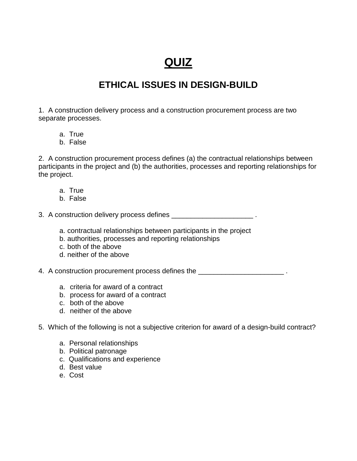# **QUIZ**

# **ETHICAL ISSUES IN DESIGN-BUILD**

1. A construction delivery process and a construction procurement process are two separate processes.

- a. True
- b. False

2. A construction procurement process defines (a) the contractual relationships between participants in the project and (b) the authorities, processes and reporting relationships for the project.

- a. True
- b. False

3. A construction delivery process defines \_\_\_\_\_\_\_\_\_\_\_\_\_\_\_\_\_\_\_\_\_\_\_\_\_\_\_\_\_.

- a. contractual relationships between participants in the project
- b. authorities, processes and reporting relationships
- c. both of the above
- d. neither of the above

4. A construction procurement process defines the \_\_\_\_\_\_\_\_\_\_\_\_\_\_\_\_\_\_\_\_\_\_\_\_\_\_\_\_\_.

- a. criteria for award of a contract
- b. process for award of a contract
- c. both of the above
- d. neither of the above

### 5. Which of the following is not a subjective criterion for award of a design-build contract?

- a. Personal relationships
- b. Political patronage
- c. Qualifications and experience
- d. Best value
- e. Cost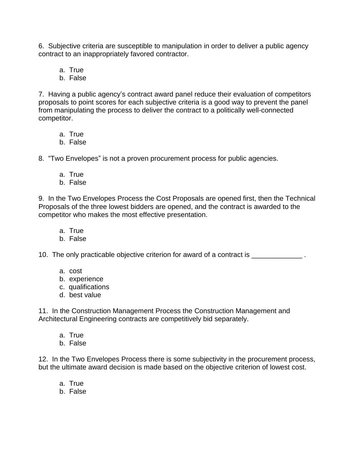6. Subjective criteria are susceptible to manipulation in order to deliver a public agency contract to an inappropriately favored contractor.

a. True

b. False

7. Having a public agency's contract award panel reduce their evaluation of competitors proposals to point scores for each subjective criteria is a good way to prevent the panel from manipulating the process to deliver the contract to a politically well-connected competitor.

- a. True
- b. False

8. "Two Envelopes" is not a proven procurement process for public agencies.

- a. True
- b. False

9. In the Two Envelopes Process the Cost Proposals are opened first, then the Technical Proposals of the three lowest bidders are opened, and the contract is awarded to the competitor who makes the most effective presentation.

- a. True
- b. False

10. The only practicable objective criterion for award of a contract is \_\_\_\_\_\_\_\_\_\_\_\_\_ .

- a. cost
- b. experience
- c. qualifications
- d. best value

11. In the Construction Management Process the Construction Management and Architectural Engineering contracts are competitively bid separately.

- a. True
- b. False

12. In the Two Envelopes Process there is some subjectivity in the procurement process, but the ultimate award decision is made based on the objective criterion of lowest cost.

- a. True
- b. False